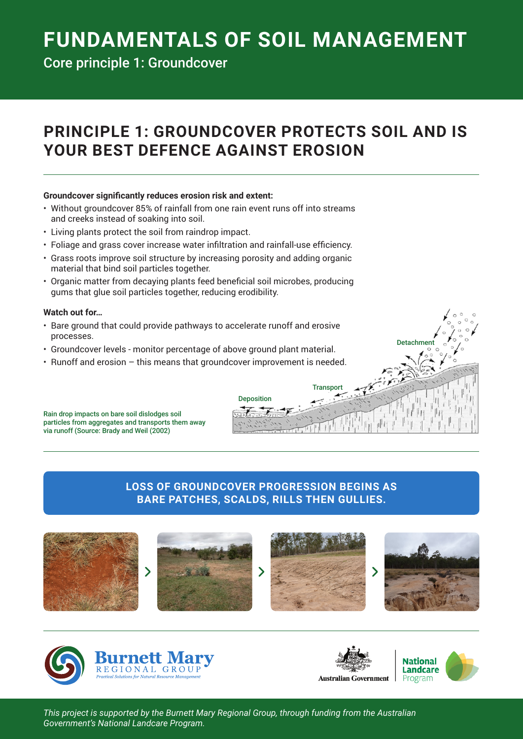# **FUNDAMENTALS OF SOIL MANAGEMENT**

Core principle 1: Groundcover

# **PRINCIPLE 1: GROUNDCOVER PROTECTS SOIL AND IS YOUR BEST DEFENCE AGAINST EROSION**

#### **Groundcover significantly reduces erosion risk and extent:**

- Without groundcover 85% of rainfall from one rain event runs off into streams and creeks instead of soaking into soil.
- Living plants protect the soil from raindrop impact.
- • Foliage and grass cover increase water infiltration and rainfall-use efficiency.
- • Grass roots improve soil structure by increasing porosity and adding organic material that bind soil particles together.
- • Organic matter from decaying plants feed beneficial soil microbes, producing gums that glue soil particles together, reducing erodibility.

#### **Watch out for…**

- Bare ground that could provide pathways to accelerate runoff and erosive processes.
- • Groundcover levels monitor percentage of above ground plant material.
- Runoff and erosion this means that groundcover improvement is needed.

Rain drop impacts on bare soil dislodges soil particles from aggregates and transports them away via runoff (Source: Brady and Weil (2002)

### **LOSS OF GROUNDCOVER PROGRESSION BEGINS AS BARE PATCHES, SCALDS, RILLS THEN GULLIES.**

Deposition

Transport







**Detachment** 

*This project is supported by the Burnett Mary Regional Group, through funding from the Australian Government's National Landcare Program.*